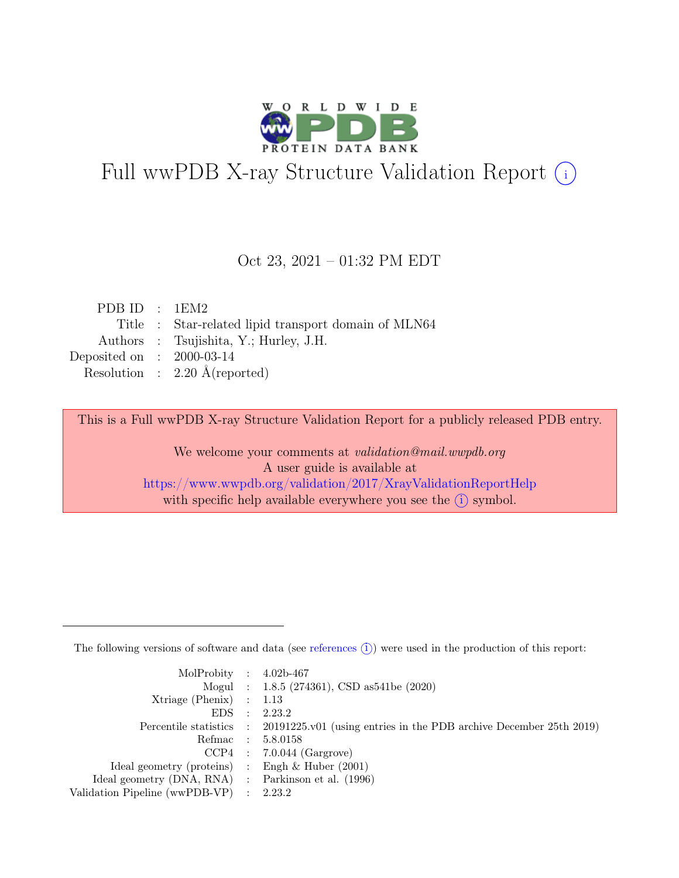

# Full wwPDB X-ray Structure Validation Report  $(i)$

#### Oct 23, 2021 – 01:32 PM EDT

| PDB ID : $1EM2$                                      |
|------------------------------------------------------|
| Title : Star-related lipid transport domain of MLN64 |
| Authors : Tsujishita, Y.; Hurley, J.H.               |
| Deposited on : $2000-03-14$                          |
| Resolution : $2.20 \text{ Å}$ (reported)             |
|                                                      |

This is a Full wwPDB X-ray Structure Validation Report for a publicly released PDB entry.

We welcome your comments at validation@mail.wwpdb.org A user guide is available at <https://www.wwpdb.org/validation/2017/XrayValidationReportHelp> with specific help available everywhere you see the  $(i)$  symbol.

The following versions of software and data (see [references](https://www.wwpdb.org/validation/2017/XrayValidationReportHelp#references)  $(i)$ ) were used in the production of this report:

| MolProbity : $4.02b-467$                            |           |                                                                                            |
|-----------------------------------------------------|-----------|--------------------------------------------------------------------------------------------|
|                                                     |           | Mogul : 1.8.5 (274361), CSD as 541be (2020)                                                |
| $Xtriangle (Phenix)$ : 1.13                         |           |                                                                                            |
| EDS                                                 | $\cdot$ : | 2.23.2                                                                                     |
|                                                     |           | Percentile statistics : 20191225.v01 (using entries in the PDB archive December 25th 2019) |
| Refmac : 5.8.0158                                   |           |                                                                                            |
|                                                     |           | $CCP4$ : 7.0.044 (Gargrove)                                                                |
| Ideal geometry (proteins) : Engh $\&$ Huber (2001)  |           |                                                                                            |
| Ideal geometry (DNA, RNA) : Parkinson et al. (1996) |           |                                                                                            |
| Validation Pipeline (wwPDB-VP) : 2.23.2             |           |                                                                                            |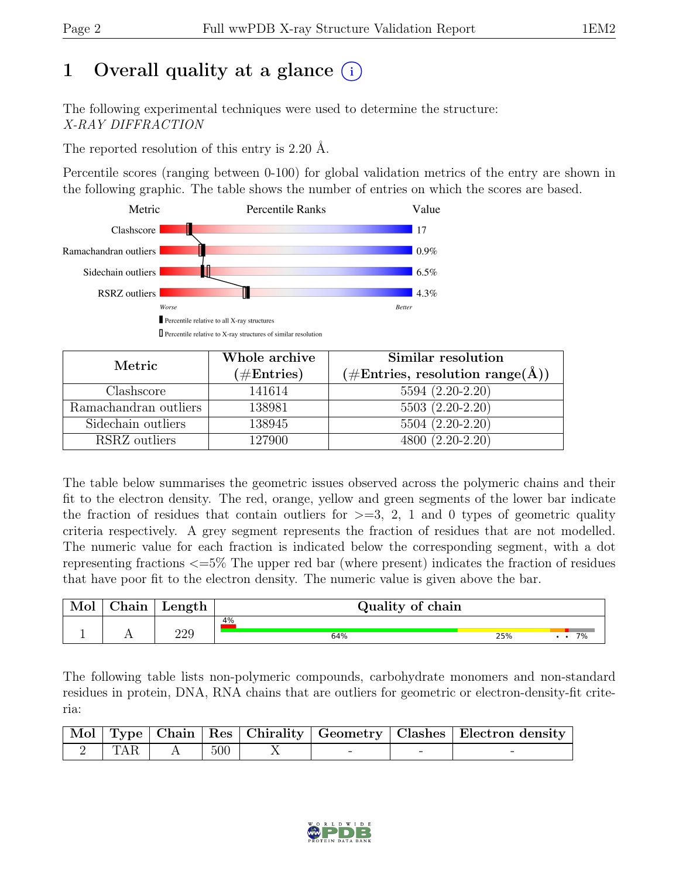# 1 Overall quality at a glance  $(i)$

The following experimental techniques were used to determine the structure: X-RAY DIFFRACTION

The reported resolution of this entry is 2.20 Å.

Percentile scores (ranging between 0-100) for global validation metrics of the entry are shown in the following graphic. The table shows the number of entries on which the scores are based.



| Metric                | Whole archive | Similar resolution                                  |
|-----------------------|---------------|-----------------------------------------------------|
|                       | $(\#Entries)$ | $(\# \text{Entries}, \text{resolution range}(\AA))$ |
| Clashscore            | 141614        | $5594(2.20-2.20)$                                   |
| Ramachandran outliers | 138981        | $5503(2.20-2.20)$                                   |
| Sidechain outliers    | 138945        | 5504 (2.20-2.20)                                    |
| RSRZ outliers         | 127900        | $4800(2.20-2.20)$                                   |

The table below summarises the geometric issues observed across the polymeric chains and their fit to the electron density. The red, orange, yellow and green segments of the lower bar indicate the fraction of residues that contain outliers for  $\geq$ =3, 2, 1 and 0 types of geometric quality criteria respectively. A grey segment represents the fraction of residues that are not modelled. The numeric value for each fraction is indicated below the corresponding segment, with a dot representing fractions <=5% The upper red bar (where present) indicates the fraction of residues that have poor fit to the electron density. The numeric value is given above the bar.

| Mol | 'hain | Length | Quality of chain |     |    |
|-----|-------|--------|------------------|-----|----|
|     | . .   | 229    | 4%<br>64%        | 25% | 7% |

The following table lists non-polymeric compounds, carbohydrate monomers and non-standard residues in protein, DNA, RNA chains that are outliers for geometric or electron-density-fit criteria:

|           |                   |  |   | Mol Type   Chain   Res   Chirality   Geometry   Clashes   Electron density |
|-----------|-------------------|--|---|----------------------------------------------------------------------------|
| $2$   TAR | $\vert 500 \vert$ |  | - |                                                                            |

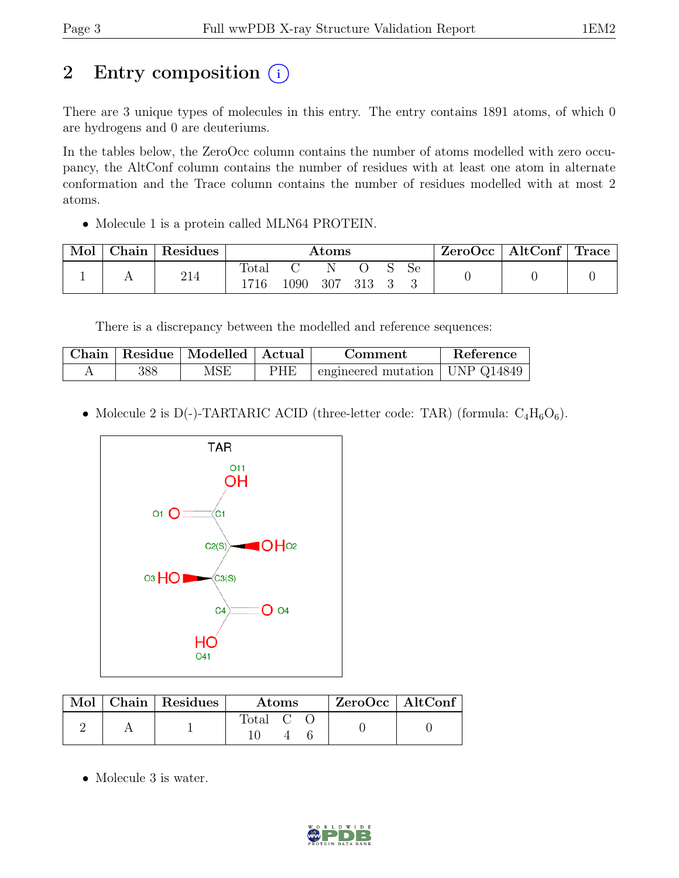# 2 Entry composition  $(i)$

There are 3 unique types of molecules in this entry. The entry contains 1891 atoms, of which 0 are hydrogens and 0 are deuteriums.

In the tables below, the ZeroOcc column contains the number of atoms modelled with zero occupancy, the AltConf column contains the number of residues with at least one atom in alternate conformation and the Trace column contains the number of residues modelled with at most 2 atoms.

• Molecule 1 is a protein called MLN64 PROTEIN.

| Mol | $\cap$ hain | Residues            | $\rm{Atoms}$ |      |     |  | ZeroOcc | AltConf | $^{\circ}$ Trace |  |  |
|-----|-------------|---------------------|--------------|------|-----|--|---------|---------|------------------|--|--|
|     |             | $^{\circ}$ 1<br>414 | Total        | 1090 | 307 |  |         | Se      |                  |  |  |

There is a discrepancy between the modelled and reference sequences:

| Chain |     | Residue   Modelled   Actual |            | Comment                          | Reference |
|-------|-----|-----------------------------|------------|----------------------------------|-----------|
|       | 388 | MSE                         | <b>PHE</b> | engineered mutation   UNP Q14849 |           |

• Molecule 2 is D(-)-TARTARIC ACID (three-letter code: TAR) (formula:  $C_4H_6O_6$ ).



|  | Mol   Chain   Residues | Atoms              |  | ZeroOcc   AltConf |  |  |
|--|------------------------|--------------------|--|-------------------|--|--|
|  |                        | Total <sub>C</sub> |  |                   |  |  |

• Molecule 3 is water.

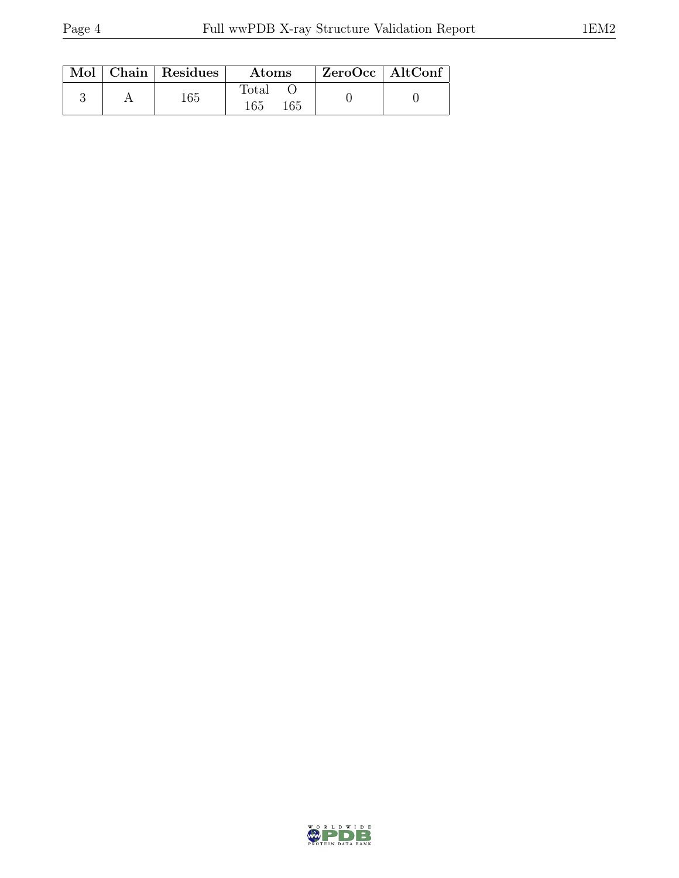|  | $Mol$   Chain   Residues | <b>Atoms</b>        | $ZeroOcc \   \ AltConf$ |  |
|--|--------------------------|---------------------|-------------------------|--|
|  | 165                      | Total<br>165<br>165 |                         |  |

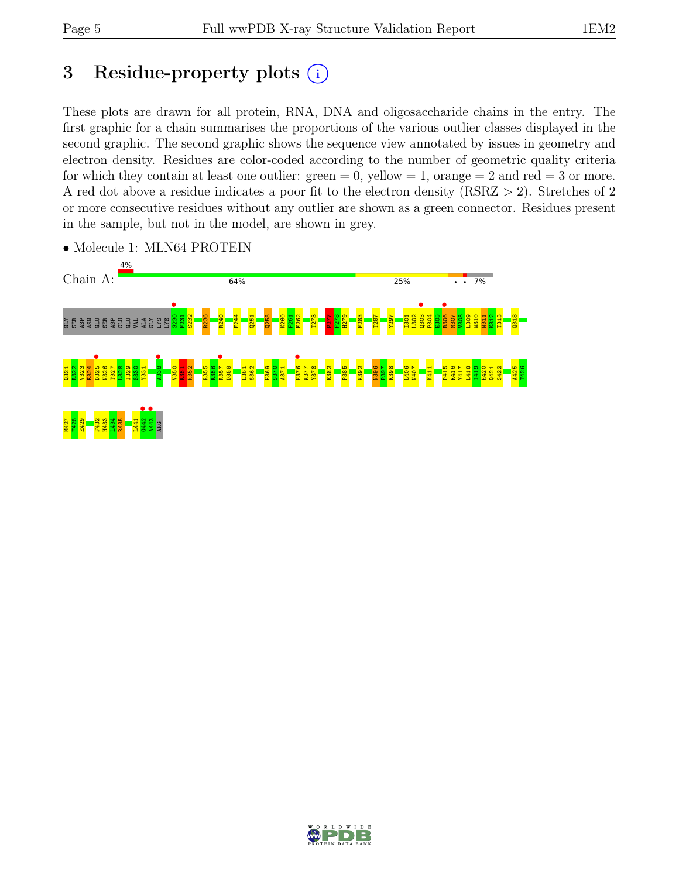# 3 Residue-property plots  $(i)$

These plots are drawn for all protein, RNA, DNA and oligosaccharide chains in the entry. The first graphic for a chain summarises the proportions of the various outlier classes displayed in the second graphic. The second graphic shows the sequence view annotated by issues in geometry and electron density. Residues are color-coded according to the number of geometric quality criteria for which they contain at least one outlier:  $green = 0$ , yellow  $= 1$ , orange  $= 2$  and red  $= 3$  or more. A red dot above a residue indicates a poor fit to the electron density (RSRZ > 2). Stretches of 2 or more consecutive residues without any outlier are shown as a green connector. Residues present in the sample, but not in the model, are shown in grey.



• Molecule 1: MLN64 PROTEIN

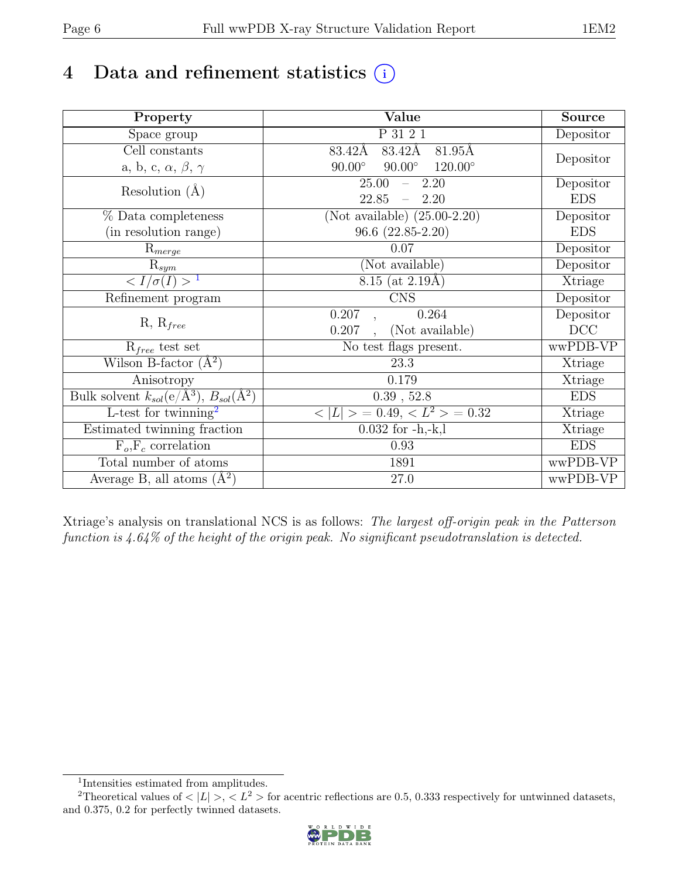# 4 Data and refinement statistics  $(i)$

| Property                                                             | Value                                            | <b>Source</b> |
|----------------------------------------------------------------------|--------------------------------------------------|---------------|
| Space group                                                          | P 31 2 1                                         | Depositor     |
| Cell constants                                                       | 83.42Å<br>81.95Å<br>83.42Å                       |               |
| a, b, c, $\alpha$ , $\beta$ , $\gamma$                               | $90.00^\circ$<br>$90.00^\circ$<br>$120.00^\circ$ | Depositor     |
| Resolution $(A)$                                                     | 25.00<br>2.20<br>$\overline{\phantom{0}}$        | Depositor     |
|                                                                      | 22.85<br>2.20                                    | <b>EDS</b>    |
| % Data completeness                                                  | (Not available) $(25.00-2.20)$                   | Depositor     |
| (in resolution range)                                                | $96.6(22.85-2.20)$                               | <b>EDS</b>    |
| $\mathrm{R}_{merge}$                                                 | 0.07                                             | Depositor     |
| $\mathrm{R}_{sym}$                                                   | (Not available)                                  | Depositor     |
| $\langle I/\sigma(I) \rangle$ <sup>1</sup>                           | 8.15 (at $2.19\text{\AA})$                       | Xtriage       |
| Refinement program                                                   | <b>CNS</b>                                       | Depositor     |
|                                                                      | 0.207<br>0.264                                   | Depositor     |
| $R, R_{free}$                                                        | (Not available)<br>0.207                         | DCC           |
| $R_{free}$ test set                                                  | No test flags present.                           | wwPDB-VP      |
| Wilson B-factor $(A^2)$                                              | 23.3                                             | Xtriage       |
| Anisotropy                                                           | 0.179                                            | Xtriage       |
| Bulk solvent $k_{sol}(e/\mathring{A}^3)$ , $B_{sol}(\mathring{A}^2)$ | $0.39$ , $52.8$                                  | <b>EDS</b>    |
| L-test for twinning <sup>2</sup>                                     | $< L >$ = 0.49, $< L^2 >$ = 0.32                 | Xtriage       |
| Estimated twinning fraction                                          | $0.032$ for $-h,-k,l$                            | Xtriage       |
| $F_o, F_c$ correlation                                               | 0.93                                             | <b>EDS</b>    |
| Total number of atoms                                                | 1891                                             | wwPDB-VP      |
| Average B, all atoms $(A^2)$                                         | 27.0                                             | wwPDB-VP      |

Xtriage's analysis on translational NCS is as follows: The largest off-origin peak in the Patterson function is 4.64% of the height of the origin peak. No significant pseudotranslation is detected.

<sup>&</sup>lt;sup>2</sup>Theoretical values of  $\langle |L| \rangle$ ,  $\langle L^2 \rangle$  for acentric reflections are 0.5, 0.333 respectively for untwinned datasets, and 0.375, 0.2 for perfectly twinned datasets.



<span id="page-5-1"></span><span id="page-5-0"></span><sup>1</sup> Intensities estimated from amplitudes.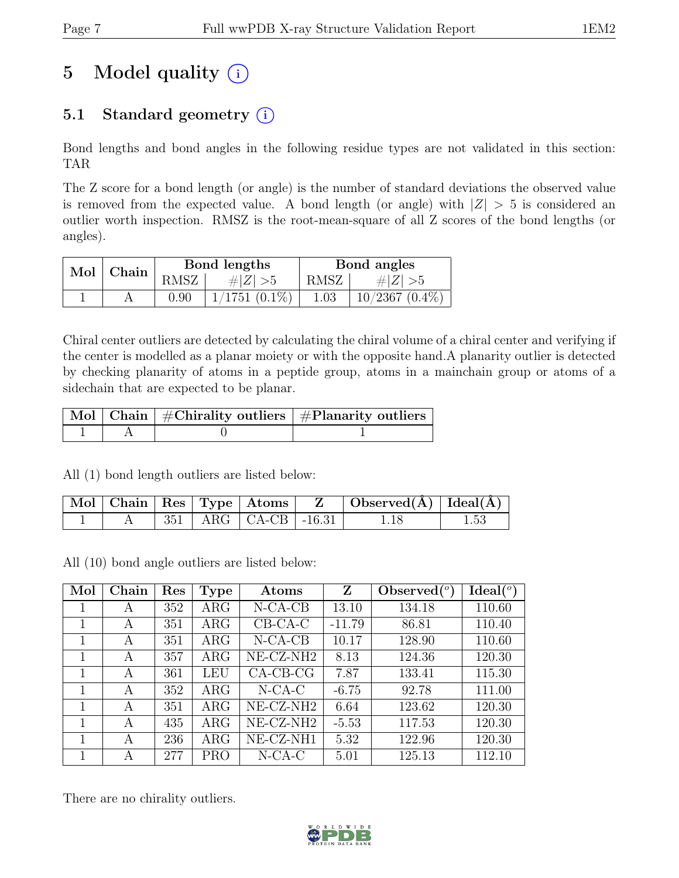# 5 Model quality  $(i)$

# 5.1 Standard geometry  $(i)$

Bond lengths and bond angles in the following residue types are not validated in this section: TAR

The Z score for a bond length (or angle) is the number of standard deviations the observed value is removed from the expected value. A bond length (or angle) with  $|Z| > 5$  is considered an outlier worth inspection. RMSZ is the root-mean-square of all Z scores of the bond lengths (or angles).

|     | Chain |      | Bond lengths    | Bond angles |                  |  |
|-----|-------|------|-----------------|-------------|------------------|--|
| Mol |       | RMSZ | # $ Z  > 5$     | RMSZ        | $\# Z  > 5$      |  |
|     |       | 0.90 | $1/1751(0.1\%)$ | 1.03        | $10/2367(0.4\%)$ |  |

Chiral center outliers are detected by calculating the chiral volume of a chiral center and verifying if the center is modelled as a planar moiety or with the opposite hand.A planarity outlier is detected by checking planarity of atoms in a peptide group, atoms in a mainchain group or atoms of a sidechain that are expected to be planar.

|  | $\lceil\,\mathrm{Mol}\,\rceil$ Chain $\mid$ #Chirality outliers $\mid$ #Planarity outliers $\mid$ |
|--|---------------------------------------------------------------------------------------------------|
|  |                                                                                                   |

All (1) bond length outliers are listed below:

|  |  | $\vert$ Mol $\vert$ Chain $\vert$ Res $\vert$ Type $\vert$ Atoms $\vert$ | $\Box$ Observed( $\AA$ ) $\Box$ Ideal( $\AA$ ) |  |
|--|--|--------------------------------------------------------------------------|------------------------------------------------|--|
|  |  | $351$   ARG   CA-CB   -16.31                                             |                                                |  |

All (10) bond angle outliers are listed below:

| Mol | Chain | Res | Type       | Atoms                 | Z        | Observed $(°)$ | Ideal <sup>(o)</sup> |
|-----|-------|-----|------------|-----------------------|----------|----------------|----------------------|
|     | А     | 352 | $\rm{ARG}$ | $N-CA-CB$             | 13.10    | 134.18         | 110.60               |
| 1   | A     | 351 | $\rm{ARG}$ | $CB-CA-C$             | $-11.79$ | 86.81          | 110.40               |
|     | A     | 351 | $\rm{ARG}$ | $N-CA-CB$             | 10.17    | 128.90         | 110.60               |
|     | А     | 357 | $\rm{ARG}$ | NE-CZ-NH <sub>2</sub> | 8.13     | 124.36         | 120.30               |
| 1   | А     | 361 | LEU        | $CA-CB-CG$            | 7.87     | 133.41         | 115.30               |
| 1   | A     | 352 | $\rm{ARG}$ | $N$ -CA-C             | $-6.75$  | 92.78          | 111.00               |
|     | А     | 351 | $\rm{ARG}$ | NE-CZ-NH <sub>2</sub> | 6.64     | 123.62         | 120.30               |
| 1   | А     | 435 | $\rm{ARG}$ | NE-CZ-NH <sub>2</sub> | $-5.53$  | 117.53         | 120.30               |
| 1   | А     | 236 | $\rm{ARG}$ | NE-CZ-NH1             | 5.32     | 122.96         | 120.30               |
|     | А     | 277 | <b>PRO</b> | $N$ -CA-C             | 5.01     | 125.13         | 112.10               |

There are no chirality outliers.

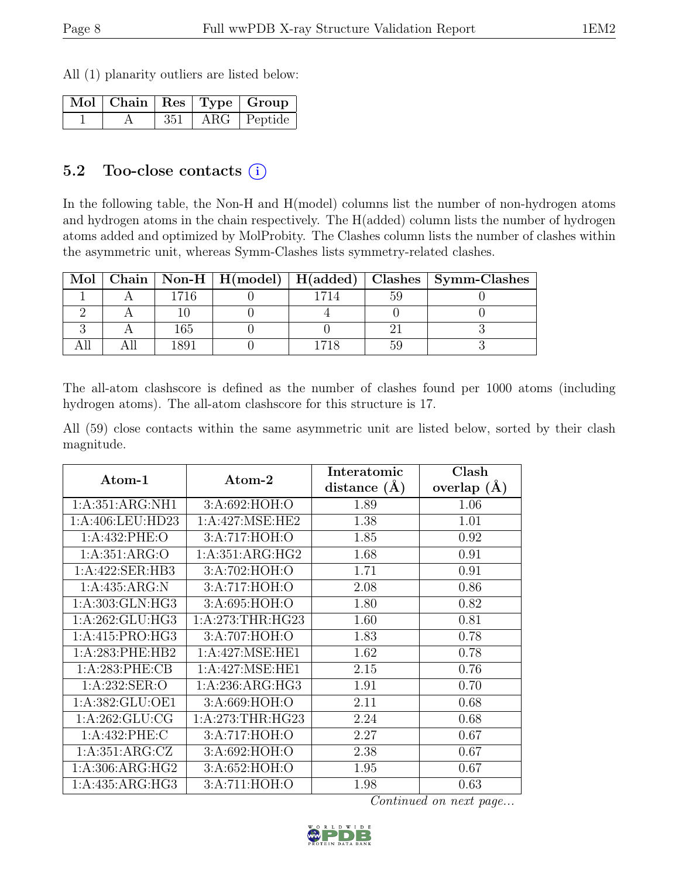All (1) planarity outliers are listed below:

|  |     | Mol   Chain   Res   Type   Group |
|--|-----|----------------------------------|
|  | 351 | $\vert$ ARG $\vert$ Peptide      |

### 5.2 Too-close contacts  $(i)$

In the following table, the Non-H and H(model) columns list the number of non-hydrogen atoms and hydrogen atoms in the chain respectively. The H(added) column lists the number of hydrogen atoms added and optimized by MolProbity. The Clashes column lists the number of clashes within the asymmetric unit, whereas Symm-Clashes lists symmetry-related clashes.

| Mol |     |  | Chain   Non-H   H(model)   H(added)   Clashes   Symm-Clashes |
|-----|-----|--|--------------------------------------------------------------|
|     |     |  |                                                              |
|     |     |  |                                                              |
|     | 165 |  |                                                              |
|     |     |  |                                                              |

The all-atom clashscore is defined as the number of clashes found per 1000 atoms (including hydrogen atoms). The all-atom clashscore for this structure is 17.

All (59) close contacts within the same asymmetric unit are listed below, sorted by their clash magnitude.

| Atom-1              | Atom-2             | Interatomic      | Clash           |
|---------------------|--------------------|------------------|-----------------|
|                     |                    | distance $(\AA)$ | overlap $(\AA)$ |
| 1:A:351:ARG:NH1     | 3:A:692:HOH:O      | 1.89             | 1.06            |
| 1:A:406:LEU:HD23    | 1: A:427: MSE: HE2 | 1.38             | 1.01            |
| 1: A: 432: PHE: O   | 3:A:717:HOH:O      | 1.85             | 0.92            |
| 1: A:351: ARG:O     | 1:A:351:ARG:HG2    | 1.68             | 0.91            |
| 1:A:422:SER:HB3     | 3:A:702:HOH:O      | 1.71             | 0.91            |
| 1:A:435:ARG:N       | 3:A:717:HOH:O      | 2.08             | 0.86            |
| 1: A:303: GLN: HG3  | 3:A:695:HOH:O      | 1.80             | 0.82            |
| 1: A:262: GLU:HG3   | 1: A:273:THR:HG23  | 1.60             | 0.81            |
| 1:A:415:PRO:HG3     | 3:A:707:HOH:O      | 1.83             | 0.78            |
| $1: A:283:$ PHE:HB2 | 1: A:427: MSE: HE1 | 1.62             | 0.78            |
| 1: A:283: PHE:CB    | 1: A:427: MSE: HE1 | 2.15             | 0.76            |
| 1:A:232:SER:O       | 1:A:236:ARG:HG3    | 1.91             | 0.70            |
| 1:A:382:GLU:OE1     | 3:A:669:HOH:O      | 2.11             | 0.68            |
| 1: A:262: GLU:CG    | 1: A:273:THR:HG23  | 2.24             | 0.68            |
| 1:A:432:PHE:C       | 3:A:717:HOH:O      | 2.27             | 0.67            |
| 1:A:351:ARG:CZ      | 3:A:692:HOH:O      | 2.38             | 0.67            |
| 1:A:306:ARG:HG2     | 3:A:652:HOH:O      | 1.95             | 0.67            |
| 1:A:435:ARG:HG3     | 3:A:711:HOH:O      | 1.98             | 0.63            |

Continued on next page...

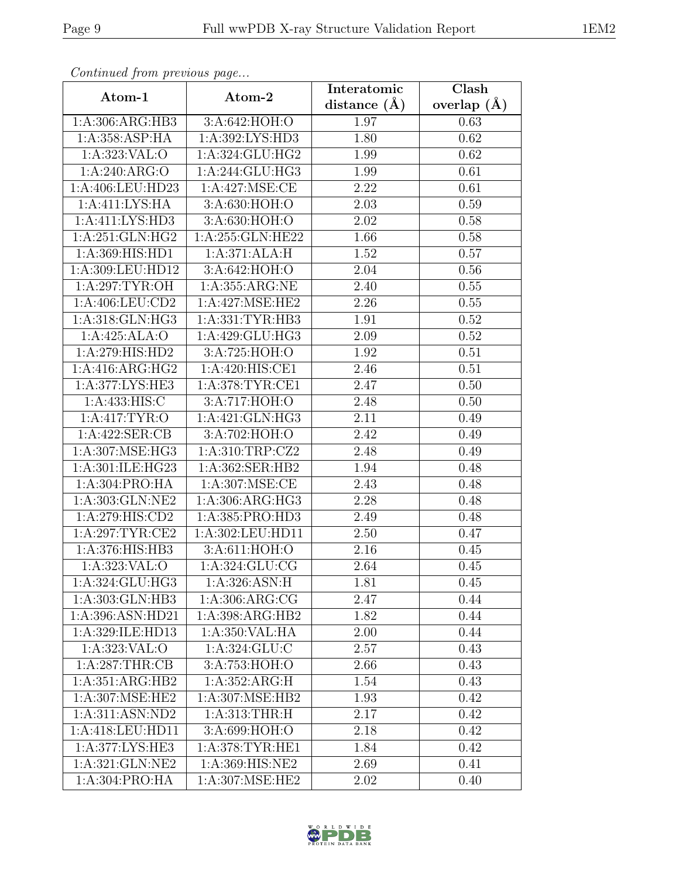| Continued from previous page |                               | Interatomic    | Clash             |
|------------------------------|-------------------------------|----------------|-------------------|
| Atom-1                       | Atom-2                        | distance $(A)$ | overlap $(\AA)$   |
| 1: A:306: ARG: HB3           | 3:A:642:HOH:O                 | 1.97           | 0.63              |
| 1:A:358:ASP:HA               | 1:A:392:LYS:HD3               | 1.80           | 0.62              |
| 1: A: 323: VAL: O            | 1:A:324:GLU:HG2               | 1.99           | 0.62              |
| 1: A:240: ARG:O              | 1:A:244:GLU:HG3               | 1.99           | 0.61              |
| 1:A:406:LEU:HD23             | 1: A:427: MSE:CE              | 2.22           | 0.61              |
| 1:A:411:LYS:HA               | 3:A:630:HOH:O                 | 2.03           | 0.59              |
| 1:A:411:LYS:HD3              | 3:A:630:HOH:O                 | 2.02           | 0.58              |
| 1: A:251: GLN: HG2           | 1:A:255:GLN:HE22              | 1.66           | 0.58              |
| 1:A:369:HIS:HD1              | 1:A:371:ALA:H                 | 1.52           | 0.57              |
| 1:A:309:LEU:HD12             | 3:A:642:HOH:O                 | 2.04           | 0.56              |
| 1:A:297:TYR:OH               | 1: A: 355: ARG: NE            | 2.40           | 0.55              |
| 1:A:406:LEU:CD2              | 1: A:427: MSE: HE2            | 2.26           | 0.55              |
| 1:A:318:GLN:HG3              | 1:A:331:TYR:HB3               | 1.91           | $\overline{0.52}$ |
| 1:A:425:ALA:O                | 1:A:429:GLU:HG3               | 2.09           | 0.52              |
| 1:A:279:HIS:HD2              | 3:A:725:HOH:O                 | 1.92           | 0.51              |
| 1:A:416:ARG:HG2              | 1: A:420: HIS: CE1            | 2.46           | 0.51              |
| 1: A:377: LYS: HE3           | 1: A:378:TYR:CE1              | 2.47           | 0.50              |
| 1: A: 433: HIS: C            | 3:A:717:HOH:O                 | 2.48           | 0.50              |
| 1:A:417:TYR:O                | 1:A:421:GLN:HG3               | 2.11           | 0.49              |
| 1:A:422:SER:CB               | 3:A:702:HOH:O                 | 2.42           | 0.49              |
| 1:A:307:MSE:HG3              | 1:A:310:TRP:CZ2               | 2.48           | 0.49              |
| 1:A:301:ILE:HG23             | 1:A:362:SER:HB2               | 1.94           | 0.48              |
| 1:A:304:PRO:HA               | 1:A:307:MSE:CE                | 2.43           | 0.48              |
| 1:A:303:GLN:NE2              | 1:A:306:ARG:HG3               | 2.28           | 0.48              |
| 1: A:279: HIS: CD2           | 1:A:385:PRO:HD3               | 2.49           | 0.48              |
| 1:A:297:TYR:CE2              | 1:A:302:LEU:HD11              | 2.50           | 0.47              |
| 1:A:376:HIS:HB3              | 3:A:611:HOH:O                 | 2.16           | 0.45              |
| 1: A: 323: VAL: O            | $1: A:324: \overline{GLU:CG}$ | 2.64           | 0.45              |
| 1:A:324:GLU:HG3              | 1:A:326:ASN:H                 | 1.81           | 0.45              |
| 1:A:303:GLN:HB3              | 1:A:306:ARG:CG                | 2.47           | 0.44              |
| 1:A:396:ASN:HD21             | 1:A:398:ARG:HB2               | 1.82           | 0.44              |
| 1:A:329:ILE:HD13             | 1:A:350:VAL:HA                | 2.00           | 0.44              |
| 1:A:323:VAL:O                | 1:A:324:GLU:C                 | 2.57           | 0.43              |
| 1: A:287:THR:CB              | 3:A:753:HOH:O                 | 2.66           | 0.43              |
| 1:A:351:ARG:HB2              | 1:A:352:ARG:H                 | 1.54           | 0.43              |
| 1:A:307:MSE:HE2              | 1:A:307:MSE:HB2               | 1.93           | 0.42              |
| 1:A:311:ASN:ND2              | 1: A:313:THR:H                | 2.17           | 0.42              |
| 1:A:418:LEU:HD11             | 3:A:699:HOH:O                 | 2.18           | 0.42              |
| 1:A:377:LYS:HE3              | 1: A:378: TYR: HE1            | 1.84           | 0.42              |
| 1:A:321:GLN:NE2              | 1:A:369:HIS:NE2               | 2.69           | 0.41              |
| 1:A:304:PRO:HA               | 1:A:307:MSE:HE2               | 2.02           | 0.40              |

Continued from previous page.

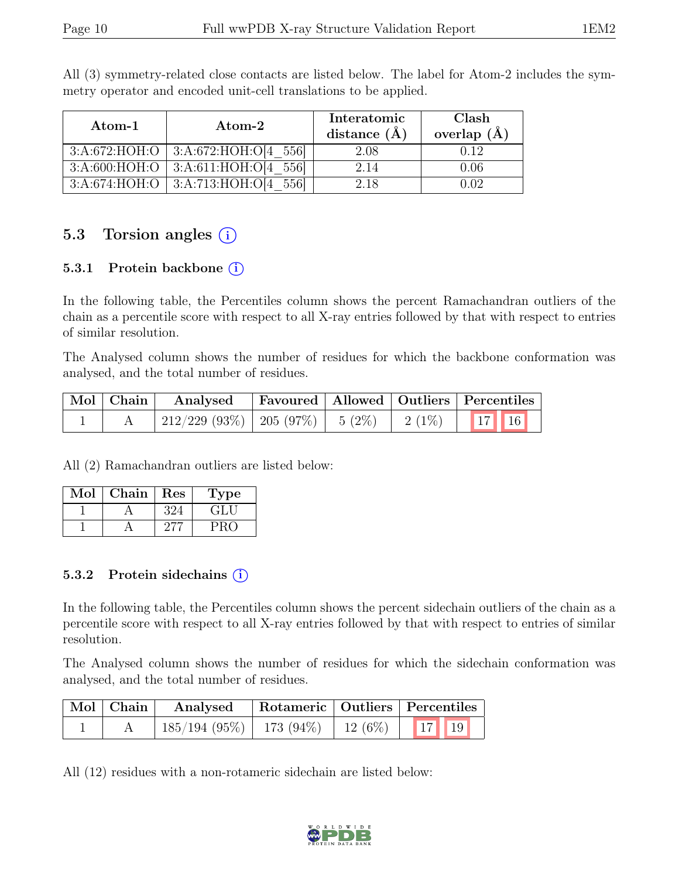| Atom-1 | Atom-2                                   | Interatomic<br>distance $(A)$ | Clash<br>overlap $(A)$ |
|--------|------------------------------------------|-------------------------------|------------------------|
|        | $3:A:672:HOH:O$   $3:A:672:HOH:O[4 556]$ | 2.08                          | 0.12                   |
|        | $3:A:600:HOH:O$   $3:A:611:HOH:O[4 556]$ | 2.14                          | 0.06                   |
|        | $3:A:674:HOH:O$   $3:A:713:HOH:O[4 556]$ | 2.18                          | D (P)                  |

All (3) symmetry-related close contacts are listed below. The label for Atom-2 includes the symmetry operator and encoded unit-cell translations to be applied.

### 5.3 Torsion angles (i)

#### 5.3.1 Protein backbone  $(i)$

In the following table, the Percentiles column shows the percent Ramachandran outliers of the chain as a percentile score with respect to all X-ray entries followed by that with respect to entries of similar resolution.

The Analysed column shows the number of residues for which the backbone conformation was analysed, and the total number of residues.

| $\vert$ Mol $\vert$ Chain $\vert$ | Analysed                                |  |           | Favoured   Allowed   Outliers   Percentiles |
|-----------------------------------|-----------------------------------------|--|-----------|---------------------------------------------|
|                                   | $212/229$ (93\%)   205 (97\%)   5 (2\%) |  | $12(1\%)$ | $\vert 17 \vert \vert 16 \vert$             |

All (2) Ramachandran outliers are listed below:

| Mol | Chain | Res | <b>Type</b>              |
|-----|-------|-----|--------------------------|
|     |       |     | $\mathbf{G}(\mathbf{H})$ |
|     |       |     |                          |

#### 5.3.2 Protein sidechains (i)

In the following table, the Percentiles column shows the percent sidechain outliers of the chain as a percentile score with respect to all X-ray entries followed by that with respect to entries of similar resolution.

The Analysed column shows the number of residues for which the sidechain conformation was analysed, and the total number of residues.

| Mol Chain | Analysed                                             |  | Rotameric   Outliers   Percentiles |
|-----------|------------------------------------------------------|--|------------------------------------|
|           | $\mid$ 185/194 (95%)   173 (94%)   12 (6%)   17   19 |  |                                    |

All (12) residues with a non-rotameric sidechain are listed below:

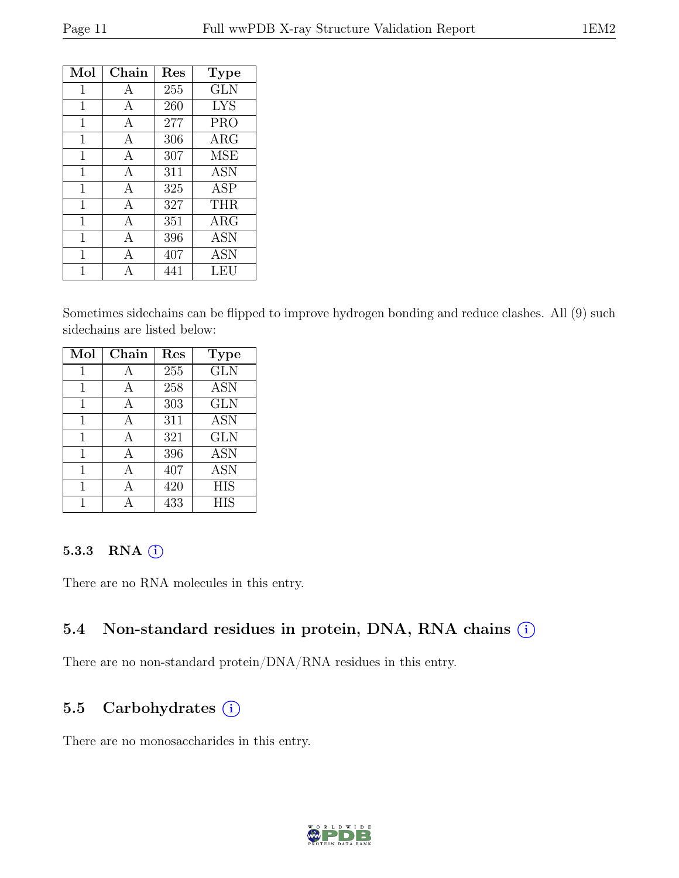| Mol         | Chain        | Res | <b>Type</b> |
|-------------|--------------|-----|-------------|
| 1           | A            | 255 | <b>GLN</b>  |
| 1           | A            | 260 | <b>LYS</b>  |
| 1           | A            | 277 | <b>PRO</b>  |
| 1           | A            | 306 | $\rm{ARG}$  |
| 1           | A            | 307 | <b>MSE</b>  |
| 1           | A            | 311 | <b>ASN</b>  |
| 1           | A            | 325 | ASP         |
| 1           | $\mathsf{A}$ | 327 | THR.        |
| 1           | A            | 351 | $\rm{ARG}$  |
| $\mathbf 1$ | А            | 396 | <b>ASN</b>  |
| 1           | A            | 407 | <b>ASN</b>  |
|             |              | 441 | LEU         |

Sometimes sidechains can be flipped to improve hydrogen bonding and reduce clashes. All (9) such sidechains are listed below:

| Mol | Chain | Res | <b>Type</b> |
|-----|-------|-----|-------------|
| 1   | А     | 255 | <b>GLN</b>  |
| 1   | А     | 258 | <b>ASN</b>  |
| 1   | A     | 303 | <b>GLN</b>  |
| 1   | А     | 311 | <b>ASN</b>  |
| 1   | A     | 321 | <b>GLN</b>  |
| 1   | A     | 396 | <b>ASN</b>  |
| 1   | А     | 407 | <b>ASN</b>  |
| 1   | Α     | 420 | <b>HIS</b>  |
| 1   |       | 433 | <b>HIS</b>  |

#### 5.3.3 RNA  $(i)$

There are no RNA molecules in this entry.

### 5.4 Non-standard residues in protein, DNA, RNA chains (i)

There are no non-standard protein/DNA/RNA residues in this entry.

### 5.5 Carbohydrates (i)

There are no monosaccharides in this entry.

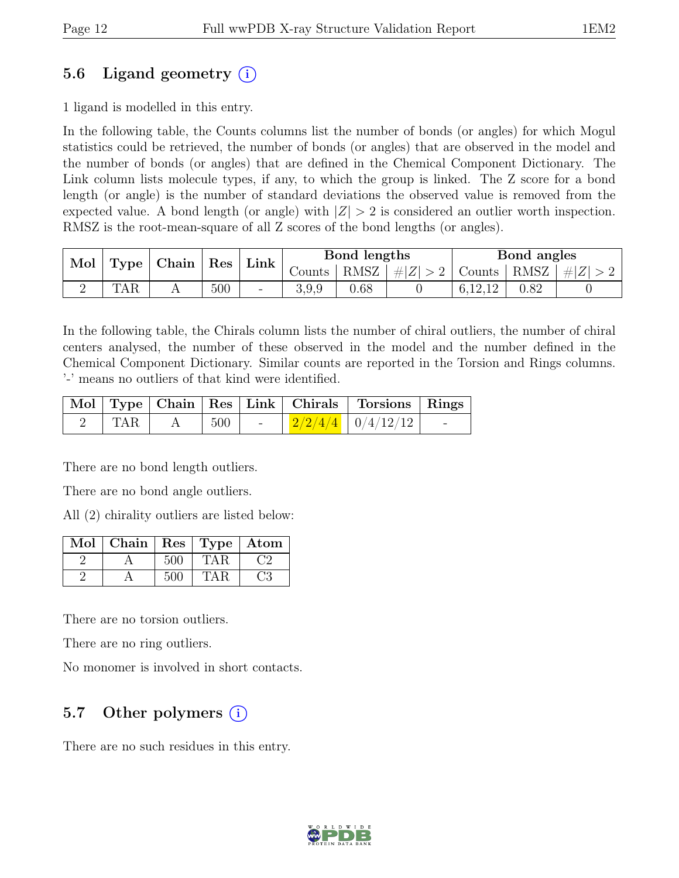### 5.6 Ligand geometry  $(i)$

1 ligand is modelled in this entry.

In the following table, the Counts columns list the number of bonds (or angles) for which Mogul statistics could be retrieved, the number of bonds (or angles) that are observed in the model and the number of bonds (or angles) that are defined in the Chemical Component Dictionary. The Link column lists molecule types, if any, to which the group is linked. The Z score for a bond length (or angle) is the number of standard deviations the observed value is removed from the expected value. A bond length (or angle) with  $|Z| > 2$  is considered an outlier worth inspection. RMSZ is the root-mean-square of all Z scores of the bond lengths (or angles).

| Mol | $\vert$ Type $\vert$ | $\mid$ Chain $\mid$ | Res | $\vert$ Link $\vert$     |                 | Bond lengths |                                                    | Bond angles |             |  |
|-----|----------------------|---------------------|-----|--------------------------|-----------------|--------------|----------------------------------------------------|-------------|-------------|--|
|     |                      |                     |     |                          | Counts $\vdash$ |              | $\vert$ RMSZ $\vert \# \vert Z \vert > 2$   Counts |             | RMSZ $ #Z $ |  |
|     | TAR                  |                     | 500 | $\overline{\phantom{0}}$ | 3,9,9           | $0.68\,$     |                                                    | 6,12,12     | 0.82        |  |

In the following table, the Chirals column lists the number of chiral outliers, the number of chiral centers analysed, the number of these observed in the model and the number defined in the Chemical Component Dictionary. Similar counts are reported in the Torsion and Rings columns. '-' means no outliers of that kind were identified.

|     |                   |  | Mol Type Chain Res Link Chirals Torsions Rings      |  |
|-----|-------------------|--|-----------------------------------------------------|--|
| TAR | $\vert 500 \vert$ |  | $\frac{1}{2}$ $\frac{2}{2/4/4}$ $\frac{0}{4/12/12}$ |  |

There are no bond length outliers.

There are no bond angle outliers.

All (2) chirality outliers are listed below:

| Mol | Chain |     | Res   Type   Atom |  |
|-----|-------|-----|-------------------|--|
|     |       | 500 |                   |  |
|     |       | 500 |                   |  |

There are no torsion outliers.

There are no ring outliers.

No monomer is involved in short contacts.

### 5.7 Other polymers  $(i)$

There are no such residues in this entry.

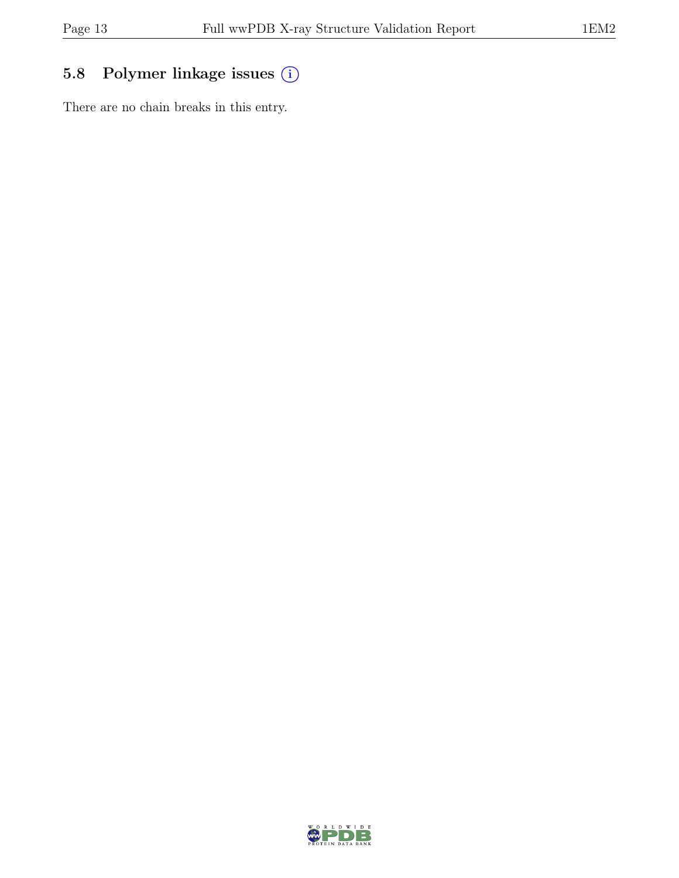# 5.8 Polymer linkage issues (i)

There are no chain breaks in this entry.

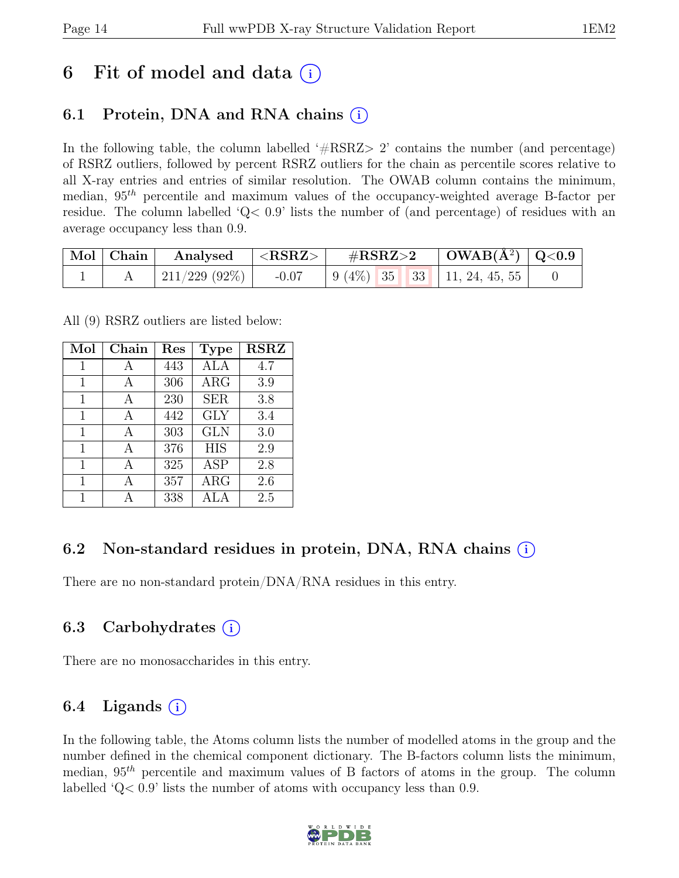# 6 Fit of model and data  $(i)$

### 6.1 Protein, DNA and RNA chains (i)

In the following table, the column labelled  $#RSRZ>2$  contains the number (and percentage) of RSRZ outliers, followed by percent RSRZ outliers for the chain as percentile scores relative to all X-ray entries and entries of similar resolution. The OWAB column contains the minimum, median,  $95<sup>th</sup>$  percentile and maximum values of the occupancy-weighted average B-factor per residue. The column labelled 'Q< 0.9' lists the number of (and percentage) of residues with an average occupancy less than 0.9.

|  | $\mid$ Mol $\mid$ Chain $\mid$ Analysed $\mid$ <rsrz> <math>\mid</math></rsrz> | $\#RSRZ>2$ $\qquad$ $\qquad$ $\qquad$ $\qquad$ $\qquad$ $\qquad$ $\qquad$ $\qquad$ $\qquad$ $\qquad$ $\qquad$ $\qquad$ $\qquad$ $\qquad$ $\qquad$ $\qquad$ $\qquad$ $\qquad$ $\qquad$ $\qquad$ $\qquad$ $\qquad$ $\qquad$ $\qquad$ $\qquad$ $\qquad$ $\qquad$ $\qquad$ $\qquad$ $\qquad$ $\qquad$ $\qquad$ $\qquad$ $\qquad$ $\qquad$ |  |  |                                              |  |
|--|--------------------------------------------------------------------------------|---------------------------------------------------------------------------------------------------------------------------------------------------------------------------------------------------------------------------------------------------------------------------------------------------------------------------------------|--|--|----------------------------------------------|--|
|  | 211/229 (92%)                                                                  |                                                                                                                                                                                                                                                                                                                                       |  |  | $-0.07$   9 (4\%)   35   33   11, 24, 45, 55 |  |

All (9) RSRZ outliers are listed below:

| Mol | Chain | $\operatorname{Res}% \left( \mathcal{N}\right) \equiv\operatorname{Res}(\mathcal{N}_{0})\cap\mathcal{N}_{1}$ | <b>Type</b> | <b>RSRZ</b> |
|-----|-------|--------------------------------------------------------------------------------------------------------------|-------------|-------------|
| 1   | A     | 443                                                                                                          | ALA         | 4.7         |
| 1   | А     | 306                                                                                                          | $\rm{ARG}$  | 3.9         |
| 1   | A     | 230                                                                                                          | <b>SER</b>  | 3.8         |
| 1   | A     | 442                                                                                                          | <b>GLY</b>  | 3.4         |
| 1   | A     | 303                                                                                                          | <b>GLN</b>  | 3.0         |
| 1   | A     | 376                                                                                                          | <b>HIS</b>  | 2.9         |
| 1   | А     | 325                                                                                                          | ASP         | 2.8         |
| 1   | A     | 357                                                                                                          | <b>ARG</b>  | 2.6         |
| 1   |       | 338                                                                                                          | ALA         | 2.5         |

### 6.2 Non-standard residues in protein, DNA, RNA chains  $(i)$

There are no non-standard protein/DNA/RNA residues in this entry.

### 6.3 Carbohydrates  $(i)$

There are no monosaccharides in this entry.

### 6.4 Ligands  $(i)$

In the following table, the Atoms column lists the number of modelled atoms in the group and the number defined in the chemical component dictionary. The B-factors column lists the minimum, median,  $95<sup>th</sup>$  percentile and maximum values of B factors of atoms in the group. The column labelled 'Q< 0.9' lists the number of atoms with occupancy less than 0.9.